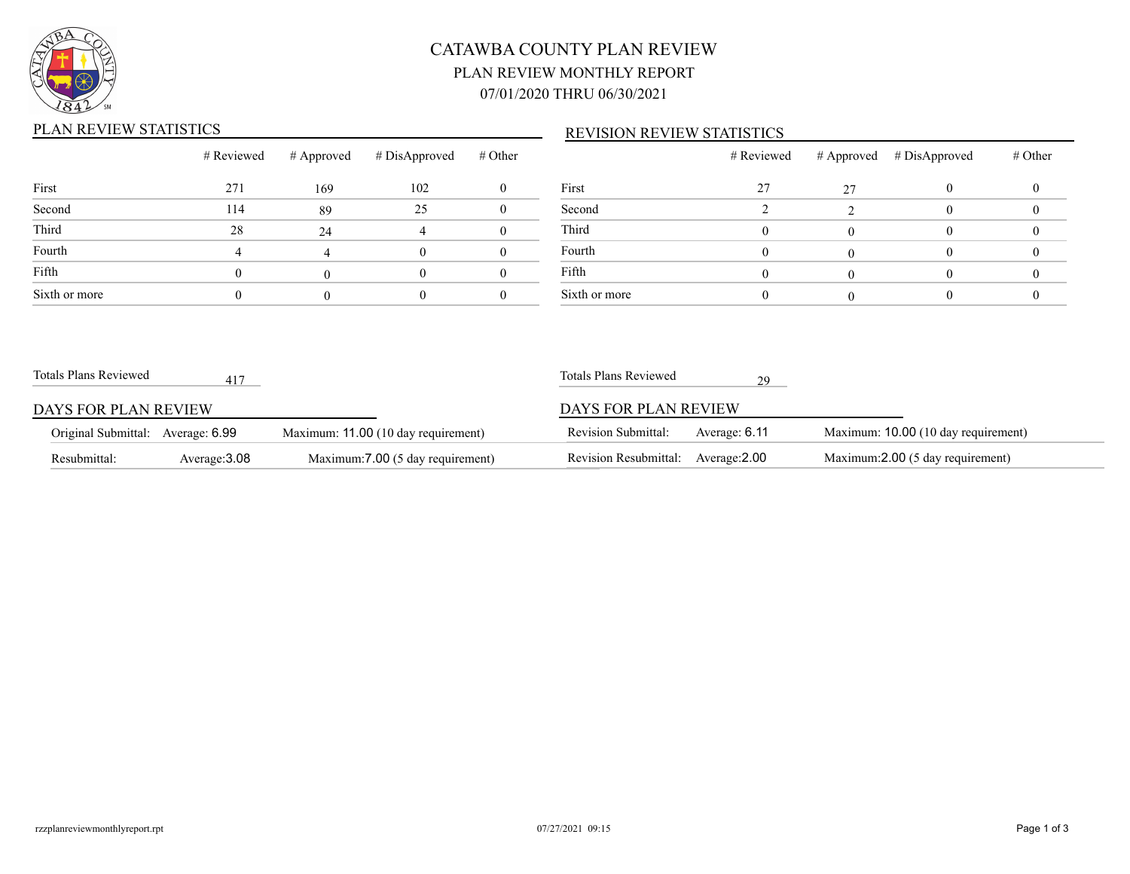

# CATAWBA COUNTY PLAN REVIEW PLAN REVIEW MONTHLY REPORT 07/01/2020 THRU 06/30/2021

## PLAN REVIEW STATISTICS

### REVISION REVIEW STATISTICS

|               | # Reviewed |     | $\#$ Approved $\#$ DisApproved | # Other |                |
|---------------|------------|-----|--------------------------------|---------|----------------|
| First         | 271        | 169 | 102                            |         | Fi             |
| Second        | 114        | 89  | 25                             |         | S <sub>6</sub> |
| Third         | 28         | 24  |                                |         | $\overline{T}$ |
| Fourth        | 4          |     |                                |         | F <sub>o</sub> |
| Fifth         |            |     |                                |         | Fi             |
| Sixth or more |            |     |                                |         | Si             |

|               | # Reviewed |    | # Approved # DisApproved | # Other |
|---------------|------------|----|--------------------------|---------|
| First         | 27         | 27 |                          |         |
| Second        |            |    |                          |         |
| Third         |            |    |                          |         |
| Fourth        |            |    |                          |         |
| Fifth         |            |    |                          |         |
| Sixth or more |            |    |                          |         |

| Totals Plans Reviewed             | 417           |                                     | Totals Plans Reviewed        |               |                                     |
|-----------------------------------|---------------|-------------------------------------|------------------------------|---------------|-------------------------------------|
| DAYS FOR PLAN REVIEW              |               |                                     | DAYS FOR PLAN REVIEW         |               |                                     |
| Original Submittal: Average: 6.99 |               | Maximum: 11.00 (10 day requirement) | <b>Revision Submittal:</b>   | Average: 6.11 | Maximum: 10.00 (10 day requirement) |
| Resubmittal:                      | Average: 3.08 | Maximum: 7.00 (5 day requirement)   | <b>Revision Resubmittal:</b> | Average:2.00  | Maximum:2.00 (5 day requirement)    |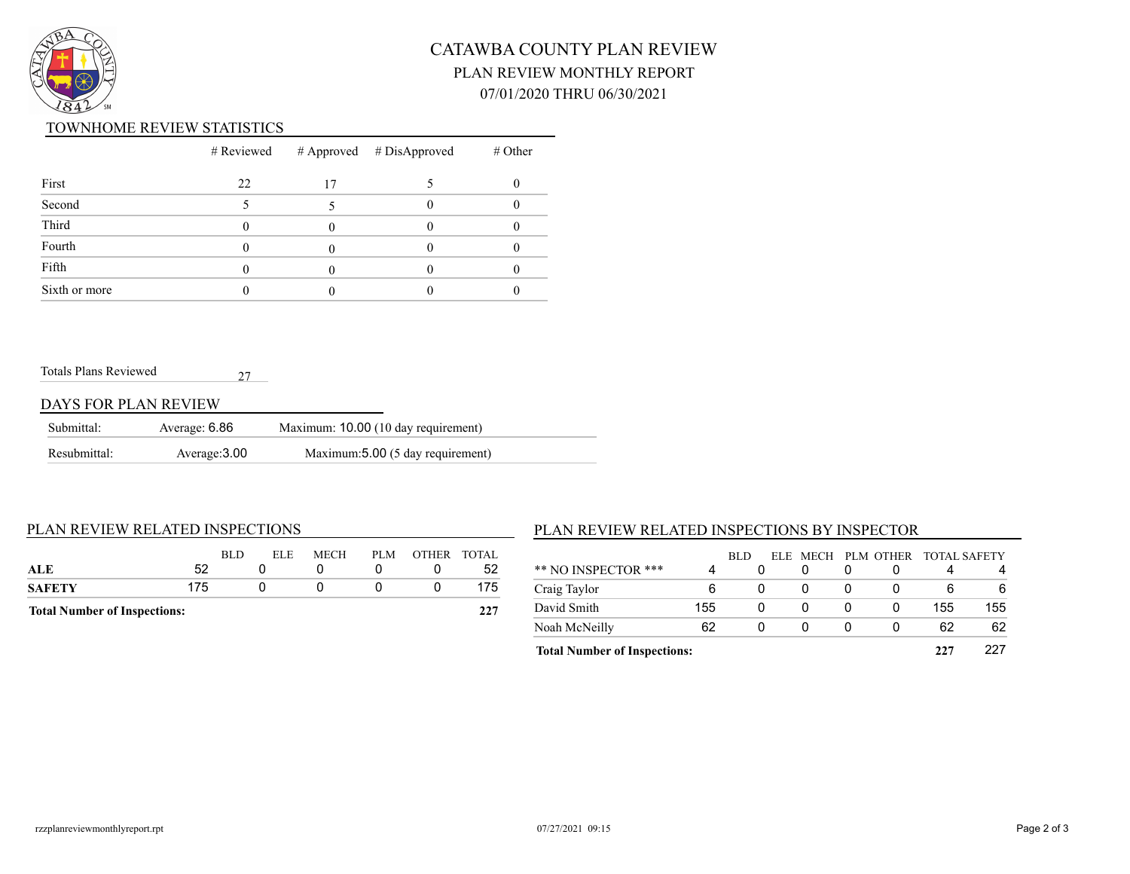

# CATAWBA COUNTY PLAN REVIEW PLAN REVIEW MONTHLY REPORT 07/01/2020 THRU 06/30/2021

#### TOWNHOME REVIEW STATISTICS

|               |    |    | $#$ Reviewed $#$ Approved $#$ DisApproved | $#$ Other |
|---------------|----|----|-------------------------------------------|-----------|
| First         | 22 | 17 |                                           |           |
| Second        |    |    |                                           |           |
| Third         |    |    |                                           |           |
| Fourth        |    |    |                                           |           |
| Fifth         |    |    |                                           |           |
| Sixth or more |    |    |                                           |           |

#### Totals Plans Reviewed 27

#### DAYS FOR PLAN REVIEW

| Submittal:   | Average: 6.86 | Maximum: 10.00 (10 day requirement) |
|--------------|---------------|-------------------------------------|
| Resubmittal: | Average: 3.00 | Maximum: 5.00 (5 day requirement)   |

#### PLAN REVIEW RELATED INSPECTIONS

| <b>Total Number of Inspections:</b> |     |     |      |             |     | 227         |     |
|-------------------------------------|-----|-----|------|-------------|-----|-------------|-----|
| <b>SAFETY</b>                       | 175 |     |      |             |     |             | 175 |
| ALE                                 | 52  |     |      |             |     |             | 52  |
|                                     |     | BLD | ELE. | <b>MECH</b> | PLM | OTHER TOTAL |     |

## PLAN REVIEW RELATED INSPECTIONS BY INSPECTOR

|                                     |     | BLD |          |              | ELE MECH PLM OTHER | - TOTAL SAFETY |     |
|-------------------------------------|-----|-----|----------|--------------|--------------------|----------------|-----|
| ** NO INSPECTOR ***                 | 4   |     |          |              |                    |                |     |
| Craig Taylor                        | 6   | 0   | $\Omega$ |              |                    | 6              | 6   |
| David Smith                         | 155 | 0   | $\Omega$ | $\mathbf{0}$ |                    | 155            | 155 |
| Noah McNeilly                       | 62  | 0   | 0        |              |                    | 62             | 62  |
| <b>Total Number of Inspections:</b> |     |     |          |              |                    | 227            |     |